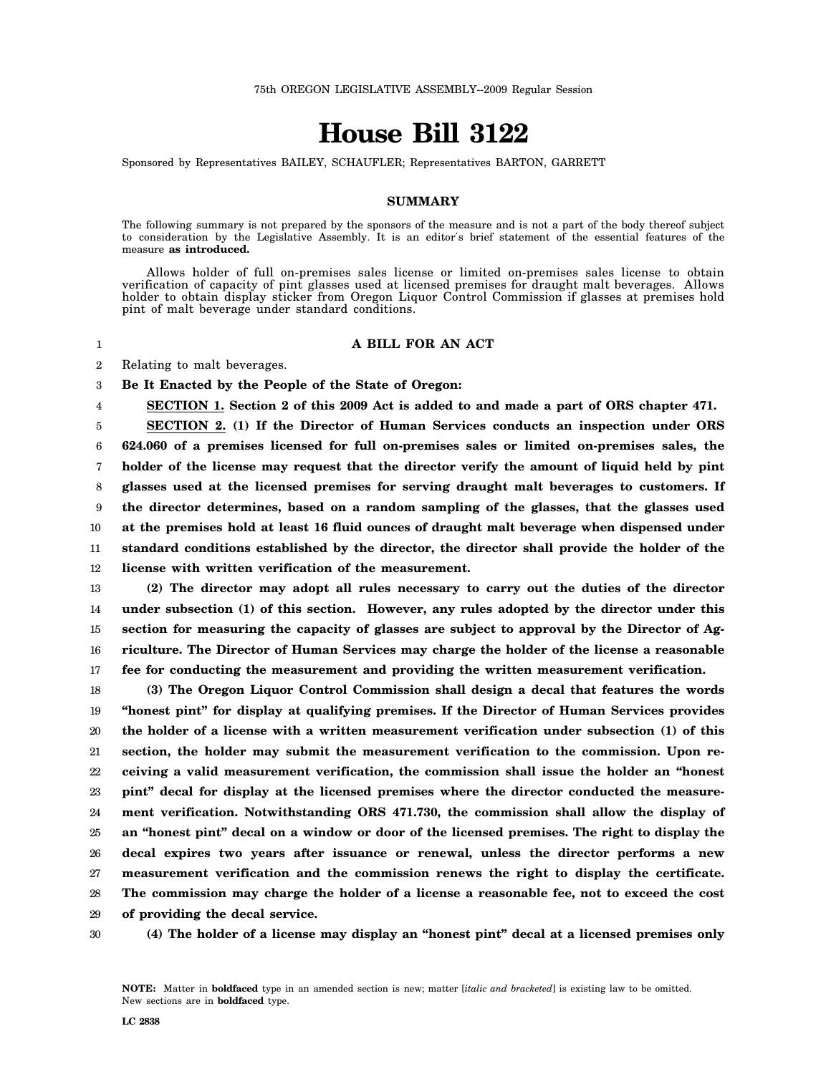## **House Bill 3122**

Sponsored by Representatives BAILEY, SCHAUFLER; Representatives BARTON, GARRETT

## **SUMMARY**

The following summary is not prepared by the sponsors of the measure and is not a part of the body thereof subject to consideration by the Legislative Assembly. It is an editor′s brief statement of the essential features of the measure **as introduced.**

Allows holder of full on-premises sales license or limited on-premises sales license to obtain verification of capacity of pint glasses used at licensed premises for draught malt beverages. Allows holder to obtain display sticker from Oregon Liquor Control Commission if glasses at premises hold pint of malt beverage under standard conditions.

## **A BILL FOR AN ACT**

2 Relating to malt beverages.

1

3 **Be It Enacted by the People of the State of Oregon:**

4 **SECTION 1. Section 2 of this 2009 Act is added to and made a part of ORS chapter 471.**

5 6 7 8 9 10 11 12 **SECTION 2. (1) If the Director of Human Services conducts an inspection under ORS 624.060 of a premises licensed for full on-premises sales or limited on-premises sales, the holder of the license may request that the director verify the amount of liquid held by pint glasses used at the licensed premises for serving draught malt beverages to customers. If the director determines, based on a random sampling of the glasses, that the glasses used at the premises hold at least 16 fluid ounces of draught malt beverage when dispensed under standard conditions established by the director, the director shall provide the holder of the license with written verification of the measurement.**

13 14 15 16 17 **(2) The director may adopt all rules necessary to carry out the duties of the director under subsection (1) of this section. However, any rules adopted by the director under this section for measuring the capacity of glasses are subject to approval by the Director of Agriculture. The Director of Human Services may charge the holder of the license a reasonable fee for conducting the measurement and providing the written measurement verification.**

18 19 20 21 22 23 24 25 26 27 28 **(3) The Oregon Liquor Control Commission shall design a decal that features the words "honest pint" for display at qualifying premises. If the Director of Human Services provides the holder of a license with a written measurement verification under subsection (1) of this section, the holder may submit the measurement verification to the commission. Upon receiving a valid measurement verification, the commission shall issue the holder an "honest pint" decal for display at the licensed premises where the director conducted the measurement verification. Notwithstanding ORS 471.730, the commission shall allow the display of an "honest pint" decal on a window or door of the licensed premises. The right to display the decal expires two years after issuance or renewal, unless the director performs a new measurement verification and the commission renews the right to display the certificate. The commission may charge the holder of a license a reasonable fee, not to exceed the cost**

29 **of providing the decal service.**

30

**(4) The holder of a license may display an "honest pint" decal at a licensed premises only**